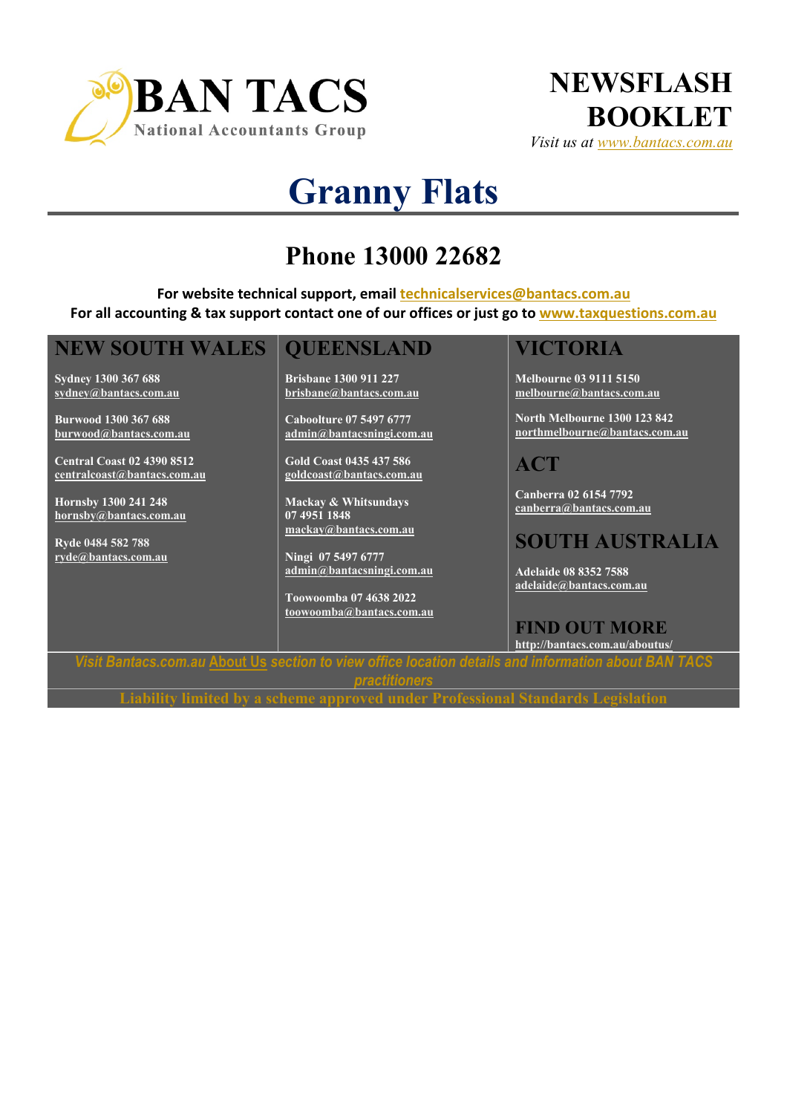



# **Granny Flats**

## **Phone 13000 22682**

**For website technical support, email technicalservices@bantacs.com.au For all accounting & tax support contact one of our offices or just go to www.taxquestions.com.au**

#### **NEW SOUTH WALES**

**Sydney 1300 367 688 sydney@bantacs.com.au**

**Burwood 1300 367 688 burwood@bantacs.com.au**

**Central Coast 02 4390 8512 centralcoast@bantacs.com.au**

**Hornsby 1300 241 248 hornsby@bantacs.com.au**

**Ryde 0484 582 788 ryde@bantacs.com.au**

#### **QUEENSLAND**

**Brisbane 1300 911 227 brisbane@bantacs.com.au**

**Caboolture 07 5497 6777 admin@bantacsningi.com.au**

**Gold Coast 0435 437 586 goldcoast@bantacs.com.au**

**Mackay & Whitsundays 07 4951 1848 mackay@bantacs.com.au**

**Ningi 07 5497 6777 admin@bantacsningi.com.au**

**Toowoomba 07 4638 2022 toowoomba@bantacs.com.au**

#### **VICTORIA**

**Melbourne 03 9111 5150 melbourne@bantacs.com.au**

**North Melbourne 1300 123 842 northmelbourne@bantacs.com.au**

**ACT**

**Canberra 02 6154 7792 canberra@bantacs.com.au**

### **SOUTH AUSTRALIA**

**Adelaide 08 8352 7588 adelaide@bantacs.com.au**

**FIND OUT MORE http://bantacs.com.au/aboutus/**

*Visit Bantacs.com.au* **About Us** *section to view office location details and information about BAN TACS practitioners*

**Liability limited by a scheme approved under Professional Standards Legislation**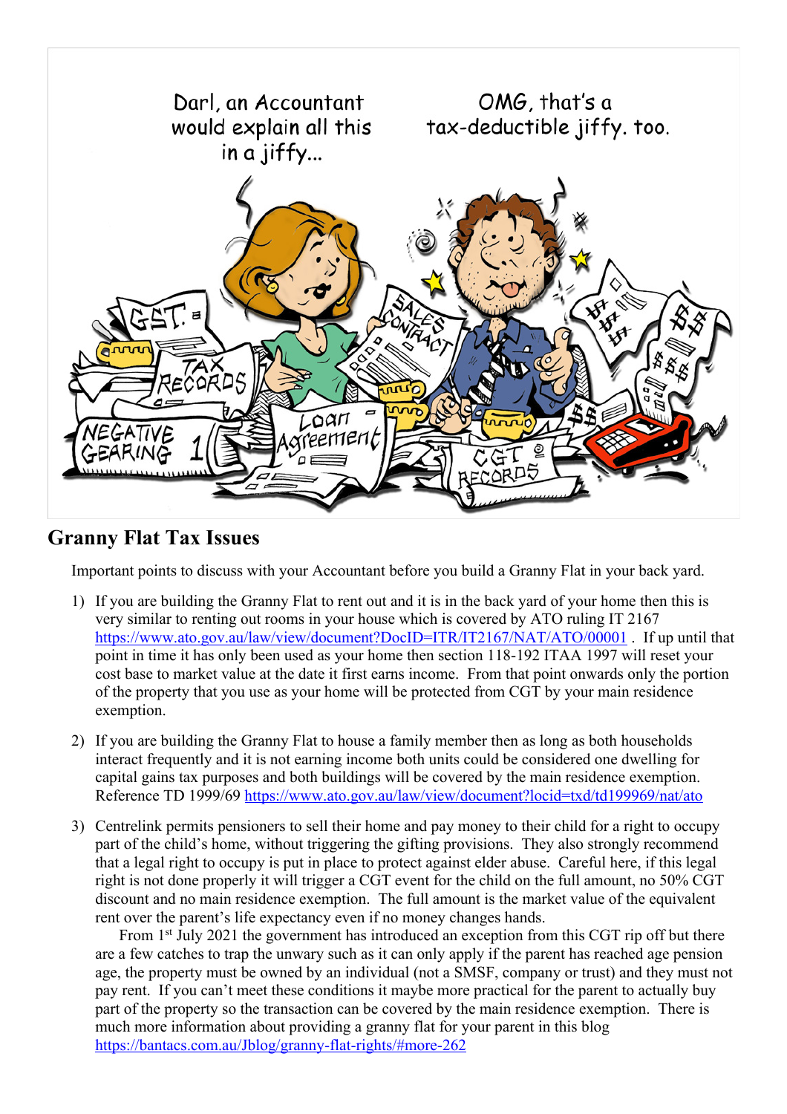

#### **Granny Flat Tax Issues**

Important points to discuss with your Accountant before you build a Granny Flat in your back yard.

- 1) If you are building the Granny Flat to rent out and it is in the back yard of your home then this is very similar to renting out rooms in your house which is covered by ATO ruling IT 2167 https://www.ato.gov.au/law/view/document?DocID=ITR/IT2167/NAT/ATO/00001 . If up until that point in time it has only been used as your home then section 118-192 ITAA 1997 will reset your cost base to market value at the date it first earns income. From that point onwards only the portion of the property that you use as your home will be protected from CGT by your main residence exemption.
- 2) If you are building the Granny Flat to house a family member then as long as both households interact frequently and it is not earning income both units could be considered one dwelling for capital gains tax purposes and both buildings will be covered by the main residence exemption. Reference TD 1999/69 https://www.ato.gov.au/law/view/document?locid=txd/td199969/nat/ato
- 3) Centrelink permits pensioners to sell their home and pay money to their child for a right to occupy part of the child's home, without triggering the gifting provisions. They also strongly recommend that a legal right to occupy is put in place to protect against elder abuse. Careful here, if this legal right is not done properly it will trigger a CGT event for the child on the full amount, no 50% CGT discount and no main residence exemption. The full amount is the market value of the equivalent rent over the parent's life expectancy even if no money changes hands.

From 1<sup>st</sup> July 2021 the government has introduced an exception from this CGT rip off but there are a few catches to trap the unwary such as it can only apply if the parent has reached age pension age, the property must be owned by an individual (not a SMSF, company or trust) and they must not pay rent. If you can't meet these conditions it maybe more practical for the parent to actually buy part of the property so the transaction can be covered by the main residence exemption. There is much more information about providing a granny flat for your parent in this blog https://bantacs.com.au/Jblog/granny-flat-rights/#more-262